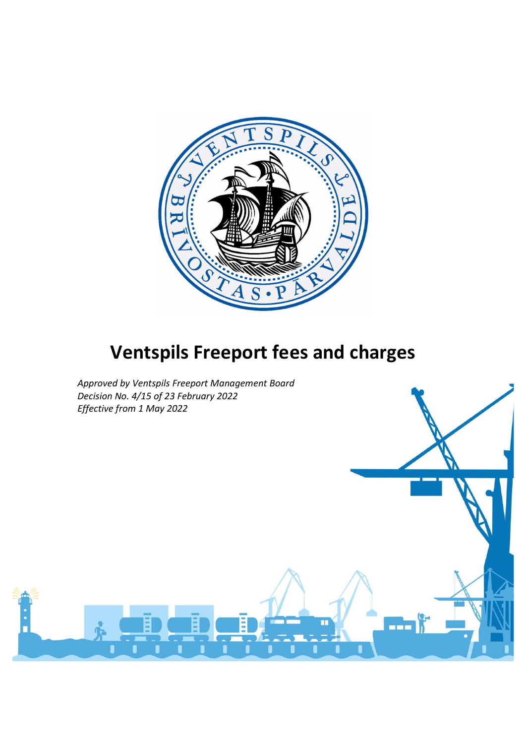

# Ventspils Freeport fees and charges

Approved by Ventspils Freeport Management Board Decision No. 4/15 of 23 February 2022 Effective from 1 May 2022

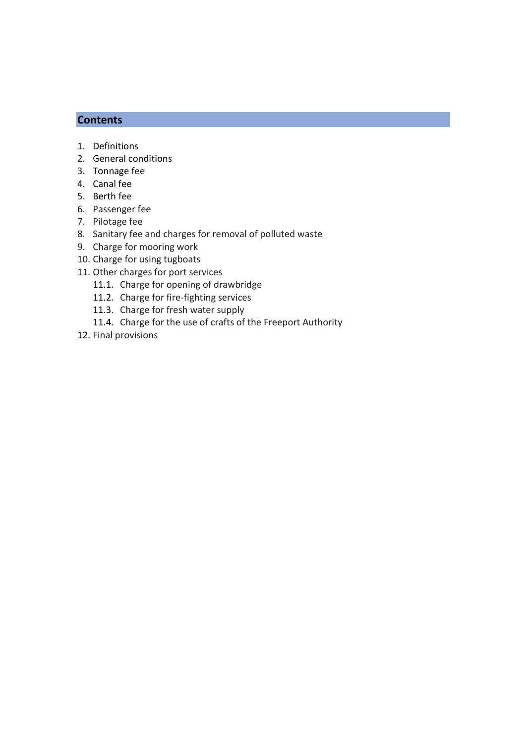# **Contents**

- 1. Definitions
- 2. General conditions
- 3. Tonnage fee
- 4. Canal fee
- 5. Berth fee
- 6. Passenger fee
- 7. Pilotage fee
- 8. Sanitary fee and charges for removal of polluted waste
- 9. Charge for mooring work
- 10. Charge for using tugboats
- 11. Other charges for port services
	- 11.1. Charge for opening of drawbridge
	- 11.2. Charge for fire-fighting services
	- 11.3. Charge for fresh water supply
	- 11.4. Charge for the use of crafts of the Freeport Authority
- 12. Final provisions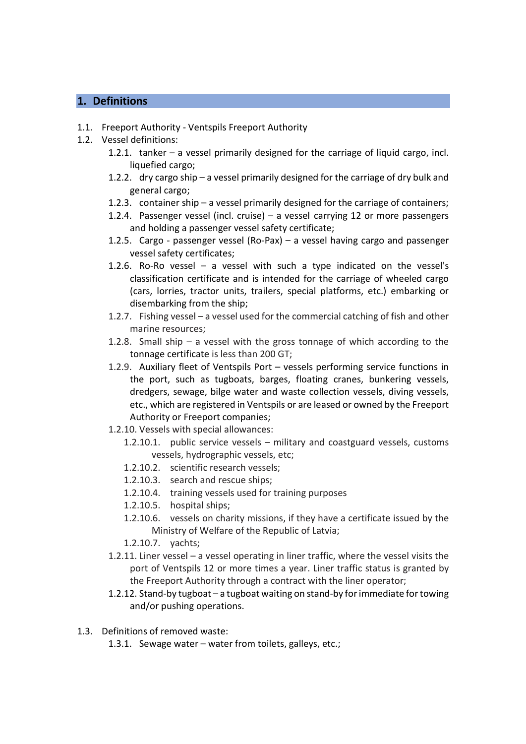# 1. Definitions

- 1.1. Freeport Authority Ventspils Freeport Authority
- 1.2. Vessel definitions:
	- 1.2.1. tanker a vessel primarily designed for the carriage of liquid cargo, incl. liquefied cargo:
	- 1.2.2. dry cargo ship a vessel primarily designed for the carriage of dry bulk and general cargo;
	- 1.2.3. container ship a vessel primarily designed for the carriage of containers;
	- 1.2.4. Passenger vessel (incl. cruise) a vessel carrying 12 or more passengers and holding a passenger vessel safety certificate;
	- 1.2.5. Cargo passenger vessel (Ro-Pax) a vessel having cargo and passenger vessel safety certificates;
	- 1.2.6. Ro-Ro vessel a vessel with such a type indicated on the vessel's classification certificate and is intended for the carriage of wheeled cargo (cars, lorries, tractor units, trailers, special platforms, etc.) embarking or disembarking from the ship;
	- 1.2.7. Fishing vessel a vessel used for the commercial catching of fish and other marine resources;
	- 1.2.8. Small ship a vessel with the gross tonnage of which according to the tonnage certificate is less than 200 GT;
	- 1.2.9. Auxiliary fleet of Ventspils Port vessels performing service functions in the port, such as tugboats, barges, floating cranes, bunkering vessels, dredgers, sewage, bilge water and waste collection vessels, diving vessels, etc., which are registered in Ventspils or are leased or owned by the Freeport Authority or Freeport companies;
	- 1.2.10. Vessels with special allowances:
		- 1.2.10.1. public service vessels military and coastguard vessels, customs vessels, hydrographic vessels, etc;
		- 1.2.10.2. scientific research vessels;
		- 1.2.10.3. search and rescue ships;
		- 1.2.10.4. training vessels used for training purposes
		- 1.2.10.5. hospital ships;
		- 1.2.10.6. vessels on charity missions, if they have a certificate issued by the Ministry of Welfare of the Republic of Latvia;
		- 1.2.10.7. yachts;
	- 1.2.11. Liner vessel a vessel operating in liner traffic, where the vessel visits the port of Ventspils 12 or more times a year. Liner traffic status is granted by the Freeport Authority through a contract with the liner operator;
	- 1.2.12. Stand-by tugboat a tugboat waiting on stand-by for immediate for towing and/or pushing operations.
- 1.3. Definitions of removed waste:
	- 1.3.1. Sewage water water from toilets, galleys, etc.;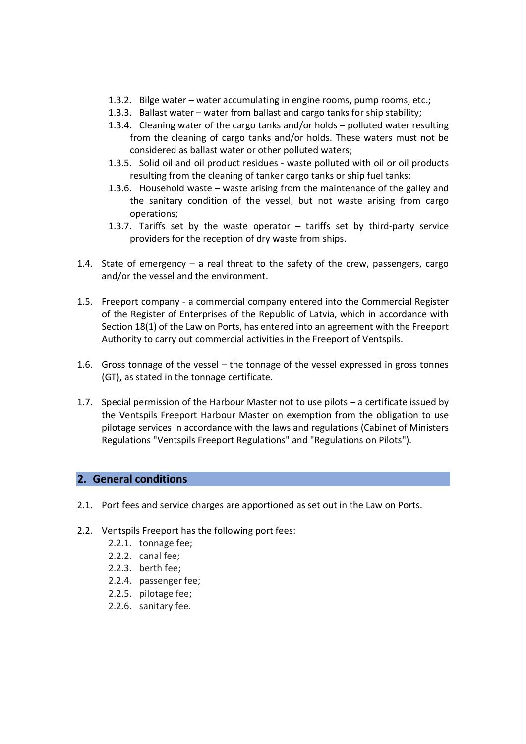- 1.3.2. Bilge water water accumulating in engine rooms, pump rooms, etc.;
- 1.3.3. Ballast water water from ballast and cargo tanks for ship stability;
- 1.3.4. Cleaning water of the cargo tanks and/or holds polluted water resulting from the cleaning of cargo tanks and/or holds. These waters must not be considered as ballast water or other polluted waters;
- 1.3.5. Solid oil and oil product residues waste polluted with oil or oil products resulting from the cleaning of tanker cargo tanks or ship fuel tanks;
- 1.3.6. Household waste waste arising from the maintenance of the galley and the sanitary condition of the vessel, but not waste arising from cargo operations;
- 1.3.7. Tariffs set by the waste operator tariffs set by third-party service providers for the reception of dry waste from ships.
- 1.4. State of emergency  $-$  a real threat to the safety of the crew, passengers, cargo and/or the vessel and the environment.
- 1.5. Freeport company a commercial company entered into the Commercial Register of the Register of Enterprises of the Republic of Latvia, which in accordance with Section 18(1) of the Law on Ports, has entered into an agreement with the Freeport Authority to carry out commercial activities in the Freeport of Ventspils.
- 1.6. Gross tonnage of the vessel the tonnage of the vessel expressed in gross tonnes (GT), as stated in the tonnage certificate.
- 1.7. Special permission of the Harbour Master not to use pilots a certificate issued by the Ventspils Freeport Harbour Master on exemption from the obligation to use pilotage services in accordance with the laws and regulations (Cabinet of Ministers Regulations "Ventspils Freeport Regulations" and "Regulations on Pilots").

# 2. General conditions

- 2.1. Port fees and service charges are apportioned as set out in the Law on Ports.
- 2.2. Ventspils Freeport has the following port fees:
	- 2.2.1. tonnage fee;
	- 2.2.2. canal fee;
	- 2.2.3. berth fee;
	- 2.2.4. passenger fee;
	- 2.2.5. pilotage fee;
	- 2.2.6. sanitary fee.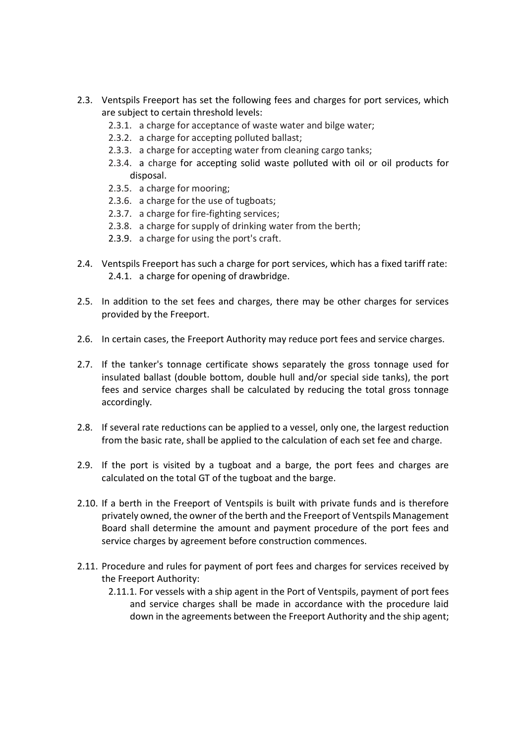- 2.3. Ventspils Freeport has set the following fees and charges for port services, which are subject to certain threshold levels:
	- 2.3.1. a charge for acceptance of waste water and bilge water;
	- 2.3.2. a charge for accepting polluted ballast;
	- 2.3.3. a charge for accepting water from cleaning cargo tanks;
	- 2.3.4. a charge for accepting solid waste polluted with oil or oil products for disposal.
	- 2.3.5. a charge for mooring;
	- 2.3.6. a charge for the use of tugboats;
	- 2.3.7. a charge for fire-fighting services;
	- 2.3.8. a charge for supply of drinking water from the berth;
	- 2.3.9. a charge for using the port's craft.
- 2.4. Ventspils Freeport has such a charge for port services, which has a fixed tariff rate: 2.4.1. a charge for opening of drawbridge.
- 2.5. In addition to the set fees and charges, there may be other charges for services provided by the Freeport.
- 2.6. In certain cases, the Freeport Authority may reduce port fees and service charges.
- 2.7. If the tanker's tonnage certificate shows separately the gross tonnage used for insulated ballast (double bottom, double hull and/or special side tanks), the port fees and service charges shall be calculated by reducing the total gross tonnage accordingly.
- 2.8. If several rate reductions can be applied to a vessel, only one, the largest reduction from the basic rate, shall be applied to the calculation of each set fee and charge.
- 2.9. If the port is visited by a tugboat and a barge, the port fees and charges are calculated on the total GT of the tugboat and the barge.
- 2.10. If a berth in the Freeport of Ventspils is built with private funds and is therefore privately owned, the owner of the berth and the Freeport of Ventspils Management Board shall determine the amount and payment procedure of the port fees and service charges by agreement before construction commences.
- 2.11. Procedure and rules for payment of port fees and charges for services received by the Freeport Authority:
	- 2.11.1. For vessels with a ship agent in the Port of Ventspils, payment of port fees and service charges shall be made in accordance with the procedure laid down in the agreements between the Freeport Authority and the ship agent;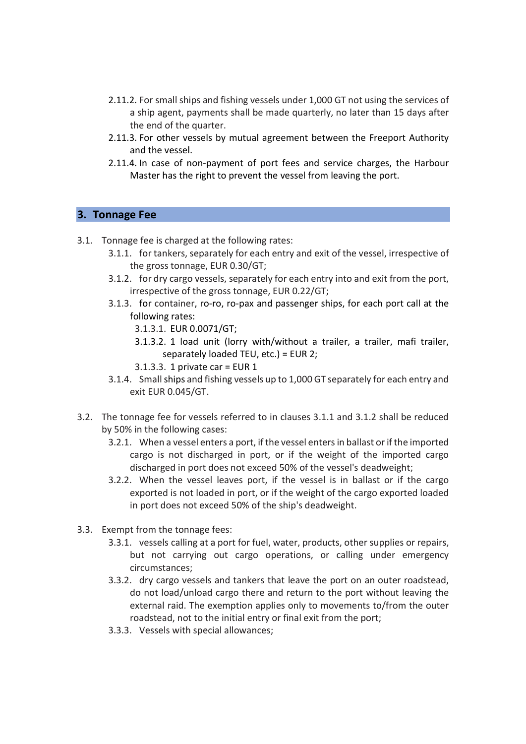- 2.11.2. For small ships and fishing vessels under 1,000 GT not using the services of a ship agent, payments shall be made quarterly, no later than 15 days after the end of the quarter.
- 2.11.3. For other vessels by mutual agreement between the Freeport Authority and the vessel.
- 2.11.4. In case of non-payment of port fees and service charges, the Harbour Master has the right to prevent the vessel from leaving the port.

# 3. Tonnage Fee

- 3.1. Tonnage fee is charged at the following rates:
	- 3.1.1. for tankers, separately for each entry and exit of the vessel, irrespective of the gross tonnage, EUR 0.30/GT;
	- 3.1.2. for dry cargo vessels, separately for each entry into and exit from the port, irrespective of the gross tonnage, EUR 0.22/GT;
	- 3.1.3. for container, ro-ro, ro-pax and passenger ships, for each port call at the following rates:
		- 3.1.3.1. EUR 0.0071/GT;
		- 3.1.3.2. 1 load unit (lorry with/without a trailer, a trailer, mafi trailer, separately loaded TEU, etc.) = EUR 2;
		- 3.1.3.3. 1 private car = EUR 1
	- 3.1.4. Small ships and fishing vessels up to 1,000 GT separately for each entry and exit EUR 0.045/GT.
- 3.2. The tonnage fee for vessels referred to in clauses 3.1.1 and 3.1.2 shall be reduced by 50% in the following cases:
	- 3.2.1. When a vessel enters a port, if the vessel enters in ballast or if the imported cargo is not discharged in port, or if the weight of the imported cargo discharged in port does not exceed 50% of the vessel's deadweight;
	- 3.2.2. When the vessel leaves port, if the vessel is in ballast or if the cargo exported is not loaded in port, or if the weight of the cargo exported loaded in port does not exceed 50% of the ship's deadweight.
- 3.3. Exempt from the tonnage fees:
	- 3.3.1. vessels calling at a port for fuel, water, products, other supplies or repairs, but not carrying out cargo operations, or calling under emergency circumstances;
	- 3.3.2. dry cargo vessels and tankers that leave the port on an outer roadstead, do not load/unload cargo there and return to the port without leaving the external raid. The exemption applies only to movements to/from the outer roadstead, not to the initial entry or final exit from the port;
	- 3.3.3. Vessels with special allowances;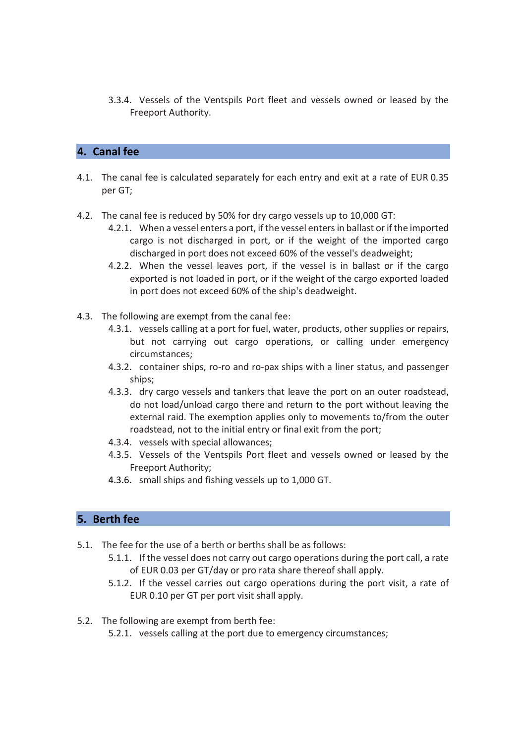3.3.4. Vessels of the Ventspils Port fleet and vessels owned or leased by the Freeport Authority.

# 4. Canal fee

- 4.1. The canal fee is calculated separately for each entry and exit at a rate of EUR 0.35 per GT;
- 4.2. The canal fee is reduced by 50% for dry cargo vessels up to 10,000 GT:
	- 4.2.1. When a vessel enters a port, if the vessel enters in ballast or if the imported cargo is not discharged in port, or if the weight of the imported cargo discharged in port does not exceed 60% of the vessel's deadweight;
	- 4.2.2. When the vessel leaves port, if the vessel is in ballast or if the cargo exported is not loaded in port, or if the weight of the cargo exported loaded in port does not exceed 60% of the ship's deadweight.
- 4.3. The following are exempt from the canal fee:
	- 4.3.1. vessels calling at a port for fuel, water, products, other supplies or repairs, but not carrying out cargo operations, or calling under emergency circumstances;
	- 4.3.2. container ships, ro-ro and ro-pax ships with a liner status, and passenger ships;
	- 4.3.3. dry cargo vessels and tankers that leave the port on an outer roadstead, do not load/unload cargo there and return to the port without leaving the external raid. The exemption applies only to movements to/from the outer roadstead, not to the initial entry or final exit from the port;
	- 4.3.4. vessels with special allowances;
	- 4.3.5. Vessels of the Ventspils Port fleet and vessels owned or leased by the Freeport Authority;
	- 4.3.6. small ships and fishing vessels up to 1,000 GT.

# 5. Berth fee

- 5.1. The fee for the use of a berth or berths shall be as follows:
	- 5.1.1. If the vessel does not carry out cargo operations during the port call, a rate of EUR 0.03 per GT/day or pro rata share thereof shall apply.
	- 5.1.2. If the vessel carries out cargo operations during the port visit, a rate of EUR 0.10 per GT per port visit shall apply.
- 5.2. The following are exempt from berth fee:
	- 5.2.1. vessels calling at the port due to emergency circumstances;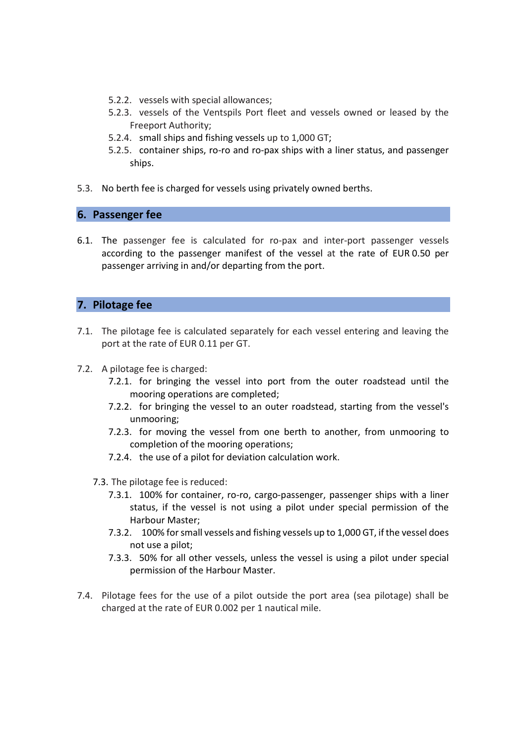- 5.2.2. vessels with special allowances;
- 5.2.3. vessels of the Ventspils Port fleet and vessels owned or leased by the Freeport Authority;
- 5.2.4. small ships and fishing vessels up to 1,000 GT;
- 5.2.5. container ships, ro-ro and ro-pax ships with a liner status, and passenger ships.
- 5.3. No berth fee is charged for vessels using privately owned berths.

#### 6. Passenger fee

6.1. The passenger fee is calculated for ro-pax and inter-port passenger vessels according to the passenger manifest of the vessel at the rate of EUR 0.50 per passenger arriving in and/or departing from the port.

# 7. Pilotage fee

- 7.1. The pilotage fee is calculated separately for each vessel entering and leaving the port at the rate of EUR 0.11 per GT.
- 7.2. A pilotage fee is charged:
	- 7.2.1. for bringing the vessel into port from the outer roadstead until the mooring operations are completed;
	- 7.2.2. for bringing the vessel to an outer roadstead, starting from the vessel's unmooring;
	- 7.2.3. for moving the vessel from one berth to another, from unmooring to completion of the mooring operations;
	- 7.2.4. the use of a pilot for deviation calculation work.
	- 7.3. The pilotage fee is reduced:
		- 7.3.1. 100% for container, ro-ro, cargo-passenger, passenger ships with a liner status, if the vessel is not using a pilot under special permission of the Harbour Master;
		- 7.3.2. 100% for small vessels and fishing vessels up to 1,000 GT, if the vessel does not use a pilot;
		- 7.3.3. 50% for all other vessels, unless the vessel is using a pilot under special permission of the Harbour Master.
- 7.4. Pilotage fees for the use of a pilot outside the port area (sea pilotage) shall be charged at the rate of EUR 0.002 per 1 nautical mile.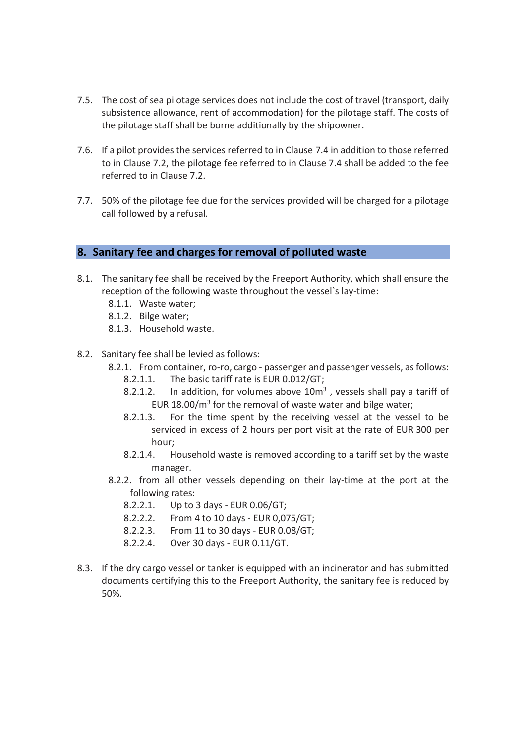- 7.5. The cost of sea pilotage services does not include the cost of travel (transport, daily subsistence allowance, rent of accommodation) for the pilotage staff. The costs of the pilotage staff shall be borne additionally by the shipowner.
- 7.6. If a pilot provides the services referred to in Clause 7.4 in addition to those referred to in Clause 7.2, the pilotage fee referred to in Clause 7.4 shall be added to the fee referred to in Clause 7.2.
- 7.7. 50% of the pilotage fee due for the services provided will be charged for a pilotage call followed by a refusal.

#### 8. Sanitary fee and charges for removal of polluted waste

- 8.1. The sanitary fee shall be received by the Freeport Authority, which shall ensure the reception of the following waste throughout the vessel`s lay-time:
	- 8.1.1. Waste water;
	- 8.1.2. Bilge water;
	- 8.1.3. Household waste.
- 8.2. Sanitary fee shall be levied as follows:
	- 8.2.1. From container, ro-ro, cargo passenger and passenger vessels, as follows:
		- 8.2.1.1. The basic tariff rate is EUR 0.012/GT;
		- 8.2.1.2. In addition, for volumes above  $10m<sup>3</sup>$ , vessels shall pay a tariff of EUR  $18.00/m<sup>3</sup>$  for the removal of waste water and bilge water;
		- 8.2.1.3. For the time spent by the receiving vessel at the vessel to be serviced in excess of 2 hours per port visit at the rate of EUR 300 per hour;
		- 8.2.1.4. Household waste is removed according to a tariff set by the waste manager.
	- 8.2.2. from all other vessels depending on their lay-time at the port at the following rates:
		- 8.2.2.1. Up to 3 days EUR 0.06/GT;
		- 8.2.2.2. From 4 to 10 days EUR 0,075/GT;
		- 8.2.2.3. From 11 to 30 days EUR 0.08/GT;
		- 8.2.2.4. Over 30 days EUR 0.11/GT.
- 8.3. If the dry cargo vessel or tanker is equipped with an incinerator and has submitted documents certifying this to the Freeport Authority, the sanitary fee is reduced by 50%.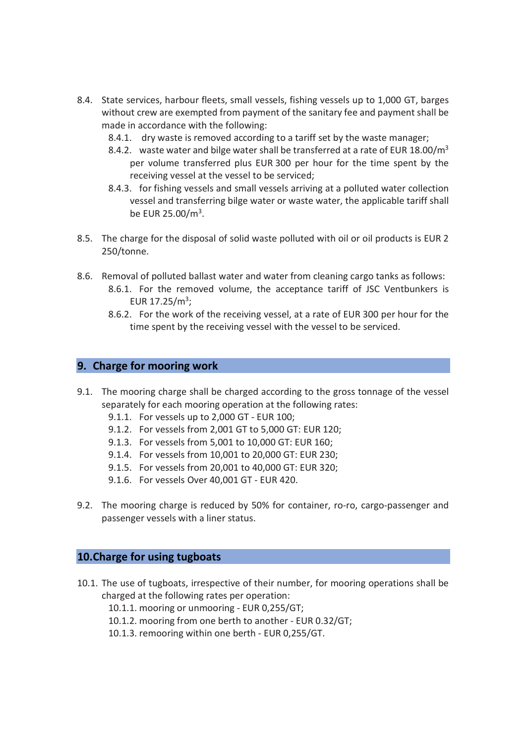- 8.4. State services, harbour fleets, small vessels, fishing vessels up to 1,000 GT, barges without crew are exempted from payment of the sanitary fee and payment shall be made in accordance with the following:
	- 8.4.1. dry waste is removed according to a tariff set by the waste manager;
	- 8.4.2. waste water and bilge water shall be transferred at a rate of EUR  $18.00/m<sup>3</sup>$ per volume transferred plus EUR 300 per hour for the time spent by the receiving vessel at the vessel to be serviced;
	- 8.4.3. for fishing vessels and small vessels arriving at a polluted water collection vessel and transferring bilge water or waste water, the applicable tariff shall be EUR 25.00/m<sup>3</sup> .
- 8.5. The charge for the disposal of solid waste polluted with oil or oil products is EUR 2 250/tonne.
- 8.6. Removal of polluted ballast water and water from cleaning cargo tanks as follows: 8.6.1. For the removed volume, the acceptance tariff of JSC Ventbunkers is EUR  $17.25/m^3$ ;
	- 8.6.2. For the work of the receiving vessel, at a rate of EUR 300 per hour for the time spent by the receiving vessel with the vessel to be serviced.

#### 9. Charge for mooring work

- 9.1. The mooring charge shall be charged according to the gross tonnage of the vessel separately for each mooring operation at the following rates:
	- 9.1.1. For vessels up to 2,000 GT EUR 100;
	- 9.1.2. For vessels from 2,001 GT to 5,000 GT: EUR 120;
	- 9.1.3. For vessels from 5,001 to 10,000 GT: EUR 160;
	- 9.1.4. For vessels from 10,001 to 20,000 GT: EUR 230;
	- 9.1.5. For vessels from 20,001 to 40,000 GT: EUR 320;
	- 9.1.6. For vessels Over 40,001 GT EUR 420.
- 9.2. The mooring charge is reduced by 50% for container, ro-ro, cargo-passenger and passenger vessels with a liner status.

# 10.Charge for using tugboats

- 10.1. The use of tugboats, irrespective of their number, for mooring operations shall be charged at the following rates per operation:
	- 10.1.1. mooring or unmooring EUR 0,255/GT;
	- 10.1.2. mooring from one berth to another EUR 0.32/GT;
	- 10.1.3. remooring within one berth EUR 0,255/GT.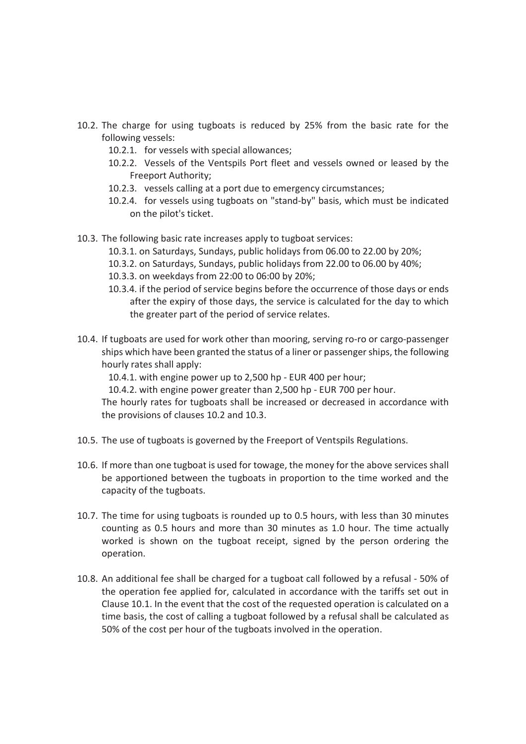- 10.2. The charge for using tugboats is reduced by 25% from the basic rate for the following vessels:
	- 10.2.1. for vessels with special allowances;
	- 10.2.2. Vessels of the Ventspils Port fleet and vessels owned or leased by the Freeport Authority;
	- 10.2.3. vessels calling at a port due to emergency circumstances;
	- 10.2.4. for vessels using tugboats on "stand-by" basis, which must be indicated on the pilot's ticket.
- 10.3. The following basic rate increases apply to tugboat services:
	- 10.3.1. on Saturdays, Sundays, public holidays from 06.00 to 22.00 by 20%;
	- 10.3.2. on Saturdays, Sundays, public holidays from 22.00 to 06.00 by 40%;
	- 10.3.3. on weekdays from 22:00 to 06:00 by 20%;
	- 10.3.4. if the period of service begins before the occurrence of those days or ends after the expiry of those days, the service is calculated for the day to which the greater part of the period of service relates.
- 10.4. If tugboats are used for work other than mooring, serving ro-ro or cargo-passenger ships which have been granted the status of a liner or passenger ships, the following hourly rates shall apply:
	- 10.4.1. with engine power up to 2,500 hp EUR 400 per hour;
	- 10.4.2. with engine power greater than 2,500 hp EUR 700 per hour.

The hourly rates for tugboats shall be increased or decreased in accordance with the provisions of clauses 10.2 and 10.3.

- 10.5. The use of tugboats is governed by the Freeport of Ventspils Regulations.
- 10.6. If more than one tugboat is used for towage, the money for the above services shall be apportioned between the tugboats in proportion to the time worked and the capacity of the tugboats.
- 10.7. The time for using tugboats is rounded up to 0.5 hours, with less than 30 minutes counting as 0.5 hours and more than 30 minutes as 1.0 hour. The time actually worked is shown on the tugboat receipt, signed by the person ordering the operation.
- 10.8. An additional fee shall be charged for a tugboat call followed by a refusal 50% of the operation fee applied for, calculated in accordance with the tariffs set out in Clause 10.1. In the event that the cost of the requested operation is calculated on a time basis, the cost of calling a tugboat followed by a refusal shall be calculated as 50% of the cost per hour of the tugboats involved in the operation.